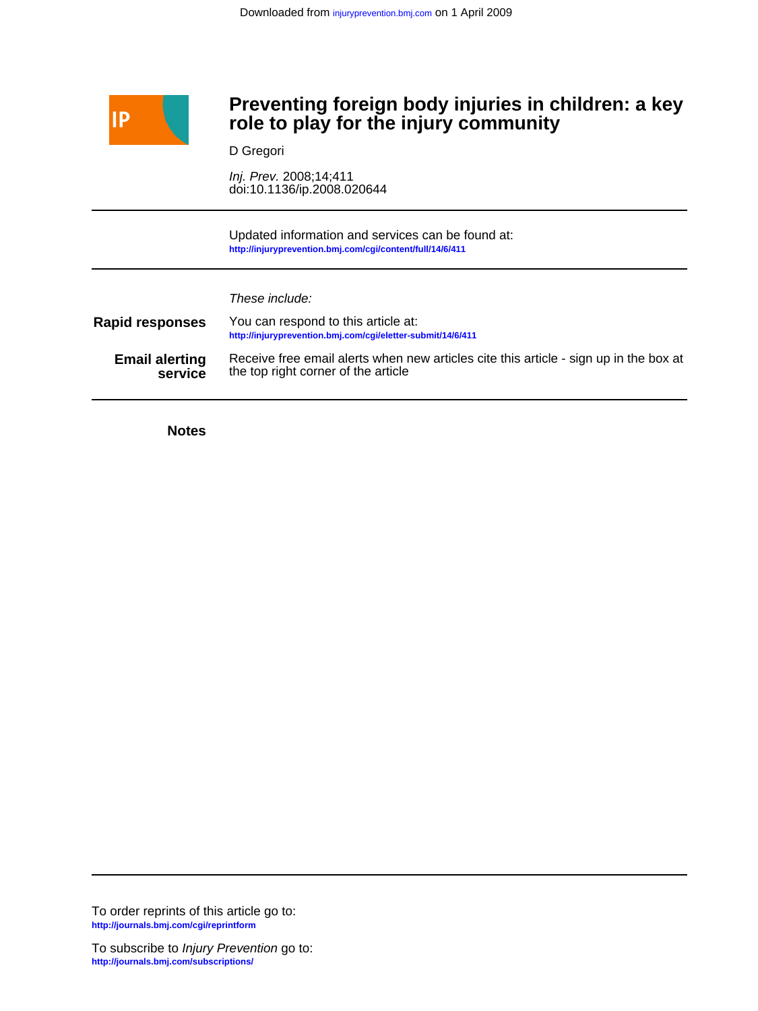

# **role to play for the injury community Preventing foreign body injuries in children: a key**

D Gregori

doi:10.1136/ip.2008.020644 Inj. Prev. 2008;14;411

**<http://injuryprevention.bmj.com/cgi/content/full/14/6/411>** Updated information and services can be found at:

These include:

| <b>Rapid responses</b> | You can respond to this article at:<br>http://injuryprevention.bmj.com/cgi/eletter-submit/14/6/411 |
|------------------------|----------------------------------------------------------------------------------------------------|
| <b>Email alerting</b>  | Receive free email alerts when new articles cite this article - sign up in the box at              |
| service                | the top right corner of the article                                                                |

**Notes**

**<http://journals.bmj.com/cgi/reprintform>** To order reprints of this article go to: